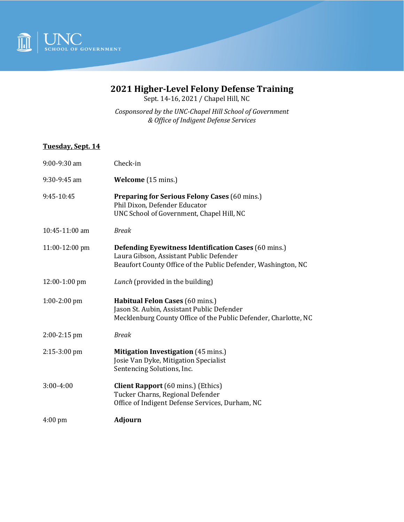

## **2021 Higher-Level Felony Defense Training**

Sept. 14-16, 2021 / Chapel Hill, NC

*Cosponsored by the UNC-Chapel Hill School of Government & Office of Indigent Defense Services*

## **Tuesday, Sept. 14**

| 9:00-9:30 am      | Check-in                                                                                                                                                                |
|-------------------|-------------------------------------------------------------------------------------------------------------------------------------------------------------------------|
| 9:30-9:45 am      | Welcome (15 mins.)                                                                                                                                                      |
| 9:45-10:45        | <b>Preparing for Serious Felony Cases (60 mins.)</b><br>Phil Dixon, Defender Educator<br>UNC School of Government, Chapel Hill, NC                                      |
| 10:45-11:00 am    | <b>Break</b>                                                                                                                                                            |
| 11:00-12:00 pm    | <b>Defending Eyewitness Identification Cases (60 mins.)</b><br>Laura Gibson, Assistant Public Defender<br>Beaufort County Office of the Public Defender, Washington, NC |
| $12:00-1:00$ pm   | Lunch (provided in the building)                                                                                                                                        |
| $1:00-2:00$ pm    | Habitual Felon Cases (60 mins.)<br>Jason St. Aubin, Assistant Public Defender<br>Mecklenburg County Office of the Public Defender, Charlotte, NC                        |
| $2:00-2:15$ pm    | <b>Break</b>                                                                                                                                                            |
| $2:15-3:00$ pm    | <b>Mitigation Investigation</b> (45 mins.)<br>Josie Van Dyke, Mitigation Specialist<br>Sentencing Solutions, Inc.                                                       |
| $3:00-4:00$       | <b>Client Rapport</b> (60 mins.) (Ethics)<br>Tucker Charns, Regional Defender<br>Office of Indigent Defense Services, Durham, NC                                        |
| $4:00 \text{ pm}$ | <b>Adjourn</b>                                                                                                                                                          |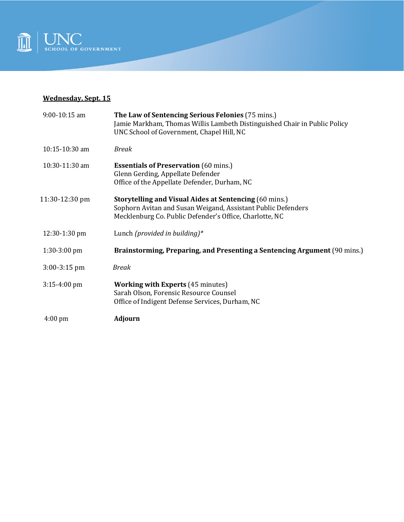

## **Wednesday, Sept. 15**

| 9:00-10:15 am     | The Law of Sentencing Serious Felonies (75 mins.)<br>Jamie Markham, Thomas Willis Lambeth Distinguished Chair in Public Policy<br>UNC School of Government, Chapel Hill, NC              |
|-------------------|------------------------------------------------------------------------------------------------------------------------------------------------------------------------------------------|
| 10:15-10:30 am    | <b>Break</b>                                                                                                                                                                             |
| 10:30-11:30 am    | <b>Essentials of Preservation</b> (60 mins.)<br>Glenn Gerding, Appellate Defender<br>Office of the Appellate Defender, Durham, NC                                                        |
| 11:30-12:30 pm    | <b>Storytelling and Visual Aides at Sentencing (60 mins.)</b><br>Sophorn Avitan and Susan Weigand, Assistant Public Defenders<br>Mecklenburg Co. Public Defender's Office, Charlotte, NC |
| 12:30-1:30 pm     | Lunch (provided in building)*                                                                                                                                                            |
| $1:30-3:00$ pm    | Brainstorming, Preparing, and Presenting a Sentencing Argument (90 mins.)                                                                                                                |
| $3:00-3:15$ pm    | <b>Break</b>                                                                                                                                                                             |
| $3:15-4:00$ pm    | <b>Working with Experts</b> (45 minutes)<br>Sarah Olson, Forensic Resource Counsel<br>Office of Indigent Defense Services, Durham, NC                                                    |
| $4:00 \text{ pm}$ | <b>Adjourn</b>                                                                                                                                                                           |
|                   |                                                                                                                                                                                          |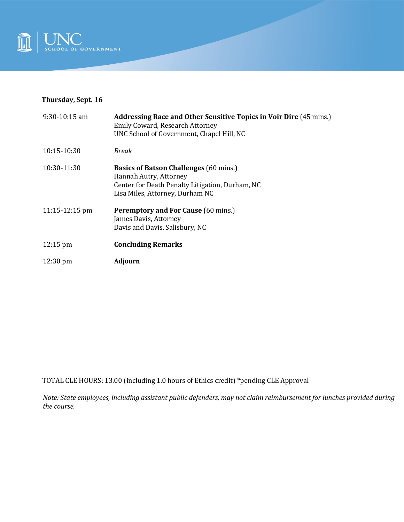

## **Thursday, Sept. 16**

| $9:30-10:15$ am          | <b>Addressing Race and Other Sensitive Topics in Voir Dire (45 mins.)</b><br>Emily Coward, Research Attorney<br>UNC School of Government, Chapel Hill, NC     |
|--------------------------|---------------------------------------------------------------------------------------------------------------------------------------------------------------|
| 10:15-10:30              | Break                                                                                                                                                         |
| 10:30-11:30              | <b>Basics of Batson Challenges</b> (60 mins.)<br>Hannah Autry, Attorney<br>Center for Death Penalty Litigation, Durham, NC<br>Lisa Miles, Attorney, Durham NC |
| $11:15-12:15 \text{ pm}$ | <b>Peremptory and For Cause (60 mins.)</b><br>James Davis, Attorney<br>Davis and Davis, Salisbury, NC                                                         |
| $12:15 \text{ pm}$       | <b>Concluding Remarks</b>                                                                                                                                     |
| $12:30 \text{ pm}$       | <b>Adjourn</b>                                                                                                                                                |

TOTAL CLE HOURS: 13.00 (including 1.0 hours of Ethics credit) \*pending CLE Approval

*Note: State employees, including assistant public defenders, may not claim reimbursement for lunches provided during the course.*